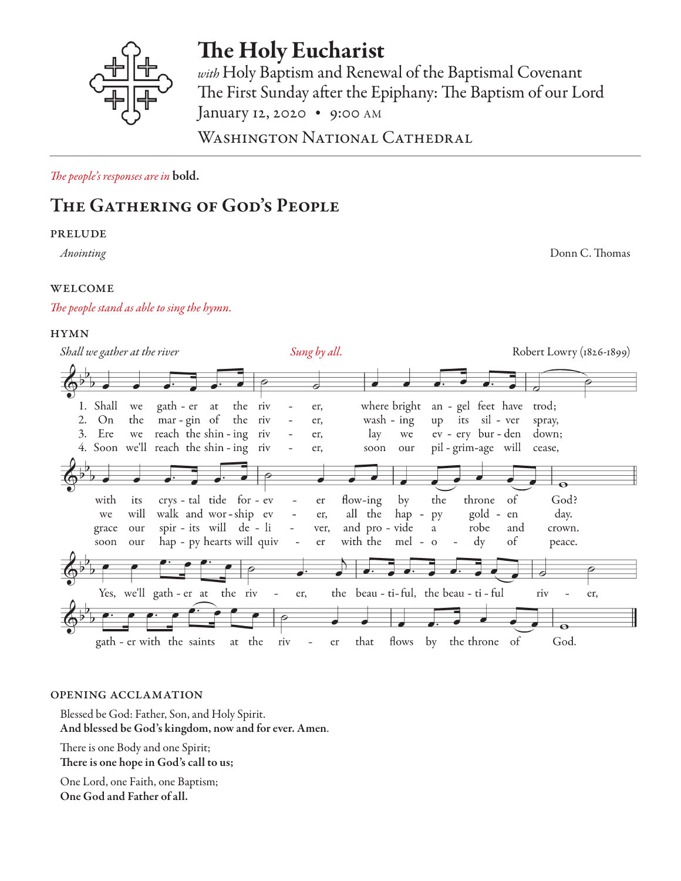

# The Holy Eucharist

*with* Holy Baptism and Renewal of the Baptismal Covenant The First Sunday after the Epiphany: The Baptism of our Lord January 12, 2020 • 9:00 AM

WASHINGTON NATIONAL CATHEDRAL

*The people's responses are in* bold.

# The Gathering of God's People

#### prelude

*Anointing* Donn C. Thomas

### **WELCOME**

### *The people stand as able to sing the hymn.*

### **HYMN**

| Shall we gather at the river                                                                                                                                           | Sung by all.                                                                                                                                                                                                                                        | Robert Lowry (1826-1899)                                                                   |
|------------------------------------------------------------------------------------------------------------------------------------------------------------------------|-----------------------------------------------------------------------------------------------------------------------------------------------------------------------------------------------------------------------------------------------------|--------------------------------------------------------------------------------------------|
|                                                                                                                                                                        |                                                                                                                                                                                                                                                     |                                                                                            |
| 1. Shall<br>we gath - er at<br>the riv<br>the mar-gin of the riv<br>On<br>we reach the shin - ing riv<br>3.<br>Ere<br>4. Soon we'll reach the shin - ing riv           | where bright<br>er,<br>up its sil - ver<br>wash - $ing$<br>er,<br>$\overline{\phantom{a}}$<br>lay<br>we<br>er,<br>soon<br>our<br>$\overline{\phantom{a}}$<br>er,                                                                                    | an - gel feet have trod;<br>spray,<br>$ev - cry$ bur-den down;<br>pil-grim-age will cease, |
| crys - tal tide for - ev<br>with<br>its<br>walk and wor-ship ev<br>will<br>we<br>spir - its will de - li<br>grace<br>our<br>hap - py hearts will quiv -<br>our<br>soon | throne<br>flow-ing<br>by<br>the<br>er<br>$\overline{\phantom{a}}$<br>all the<br>hap -<br>er,<br>py<br>$\equiv$<br>and pro - vide<br>robe<br>a<br>$\sim 100$<br>ver,<br>with the mel - o<br>$\mathrm{d}\mathrm{y}$<br>er<br>$\overline{\phantom{a}}$ | God?<br><sub>of</sub><br>gold - en<br>day.<br>and<br>crown.<br>of<br>peace.                |
| Yes, we'll gath-er at the riv<br>$\sim$ $-$<br>gath - er with the saints<br>at the<br>riv                                                                              | the beau - ti-ful, the beau - ti - ful<br>er,<br>flows by the throne of<br>that<br>$-$ er                                                                                                                                                           | riv<br>er,<br>God.                                                                         |

#### opening acclamation

Blessed be God: Father, Son, and Holy Spirit. And blessed be God's kingdom, now and for ever. Amen.

There is one Body and one Spirit; There is one hope in God's call to us;

One Lord, one Faith, one Baptism; One God and Father of all.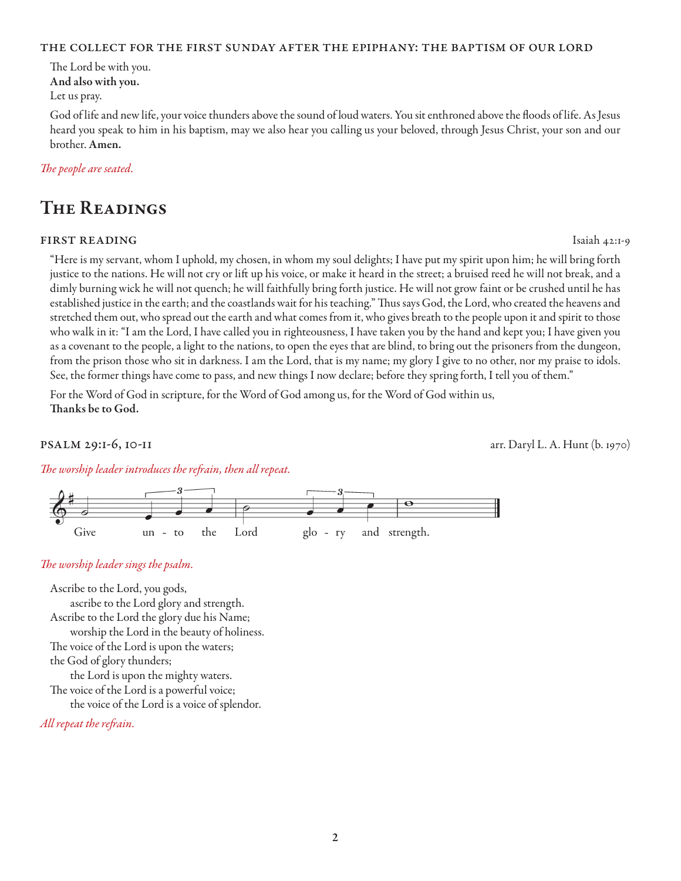#### the collect for the first sunday after the epiphany: the baptism of our lord

The Lord be with you. And also with you.

Let us pray.

God of life and new life, your voice thunders above the sound of loud waters. You sit enthroned above the floods of life. As Jesus heard you speak to him in his baptism, may we also hear you calling us your beloved, through Jesus Christ, your son and our brother. Amen.

#### *The people are seated.*

### The Readings

#### first reading Isaiah 42:1-9

"Here is my servant, whom I uphold, my chosen, in whom my soul delights; I have put my spirit upon him; he will bring forth justice to the nations. He will not cry or lift up his voice, or make it heard in the street; a bruised reed he will not break, and a dimly burning wick he will not quench; he will faithfully bring forth justice. He will not grow faint or be crushed until he has established justice in the earth; and the coastlands wait for his teaching." Thus says God, the Lord, who created the heavens and stretched them out, who spread out the earth and what comes from it, who gives breath to the people upon it and spirit to those who walk in it: "I am the Lord, I have called you in righteousness, I have taken you by the hand and kept you; I have given you as a covenant to the people, a light to the nations, to open the eyes that are blind, to bring out the prisoners from the dungeon, from the prison those who sit in darkness. I am the Lord, that is my name; my glory I give to no other, nor my praise to idols. See, the former things have come to pass, and new things I now declare; before they spring forth, I tell you of them."

For the Word of God in scripture, for the Word of God among us, for the Word of God within us, Thanks be to God.

psalm 29:1-6, 10-11 arr. Daryl L. A. Hunt (b. 1970)

*The worship leader introduces the refrain, then all repeat.*



#### *The worship leader sings the psalm.*

Ascribe to the Lord, you gods, ascribe to the Lord glory and strength. Ascribe to the Lord the glory due his Name; worship the Lord in the beauty of holiness. The voice of the Lord is upon the waters; the God of glory thunders; the Lord is upon the mighty waters. The voice of the Lord is a powerful voice; the voice of the Lord is a voice of splendor.

*All repeat the refrain.*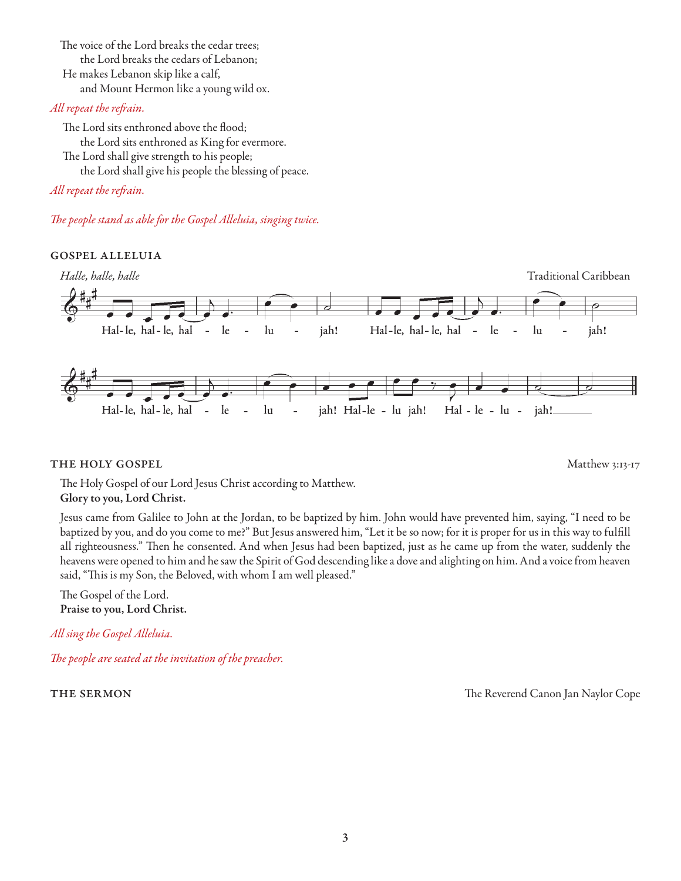The voice of the Lord breaks the cedar trees; the Lord breaks the cedars of Lebanon; He makes Lebanon skip like a calf, and Mount Hermon like a young wild ox.

#### *All repeat the refrain.*

 The Lord sits enthroned above the flood; the Lord sits enthroned as King for evermore. The Lord shall give strength to his people; the Lord shall give his people the blessing of peace.

*All repeat the refrain.* 

*The people stand as able for the Gospel Alleluia, singing twice.* 

#### gospel alleluia



#### **THE HOLY GOSPEL** Matthew 3:13-17

The Holy Gospel of our Lord Jesus Christ according to Matthew. Glory to you, Lord Christ.

Jesus came from Galilee to John at the Jordan, to be baptized by him. John would have prevented him, saying, "I need to be baptized by you, and do you come to me?" But Jesus answered him, "Let it be so now; for it is proper for us in this way to fulfill all righteousness." Then he consented. And when Jesus had been baptized, just as he came up from the water, suddenly the heavens were opened to him and he saw the Spirit of God descending like a dove and alighting on him. And a voice from heaven said, "This is my Son, the Beloved, with whom I am well pleased."

The Gospel of the Lord. Praise to you, Lord Christ.

*All sing the Gospel Alleluia.*

*The people are seated at the invitation of the preacher.*

THE SERMON THE SERMON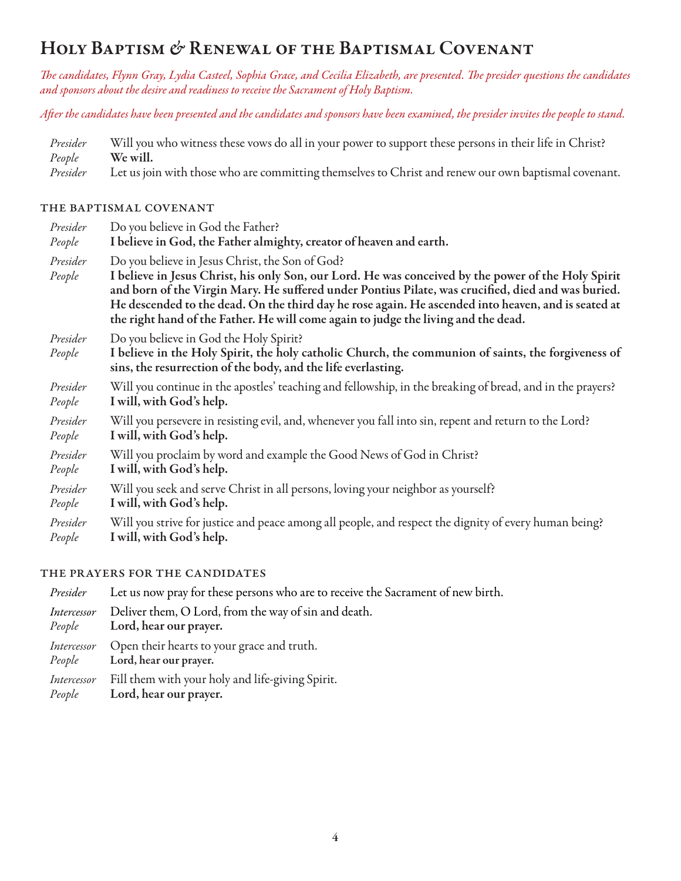## HOLY BAPTISM & RENEWAL OF THE BAPTISMAL COVENANT

*The candidates, Flynn Gray, Lydia Casteel, Sophia Grace, and Cecilia Elizabeth, are presented. The presider questions the candidates and sponsors about the desire and readiness to receive the Sacrament of Holy Baptism.* 

*After the candidates have been presented and the candidates and sponsors have been examined, the presider invites the people to stand.*

|        | Presider Will you who witness these vows do all in your power to support these persons in their life in Christ? |
|--------|-----------------------------------------------------------------------------------------------------------------|
| People | We will.                                                                                                        |
|        | Presider Let us join with those who are committing themselves to Christ and renew our own baptismal covenant.   |

#### the baptismal covenant

| Presider           | Do you believe in God the Father?                                                                                                                                                                                                                                                                                                                                                                                                                         |
|--------------------|-----------------------------------------------------------------------------------------------------------------------------------------------------------------------------------------------------------------------------------------------------------------------------------------------------------------------------------------------------------------------------------------------------------------------------------------------------------|
| People             | I believe in God, the Father almighty, creator of heaven and earth.                                                                                                                                                                                                                                                                                                                                                                                       |
| Presider<br>People | Do you believe in Jesus Christ, the Son of God?<br>I believe in Jesus Christ, his only Son, our Lord. He was conceived by the power of the Holy Spirit<br>and born of the Virgin Mary. He suffered under Pontius Pilate, was crucified, died and was buried.<br>He descended to the dead. On the third day he rose again. He ascended into heaven, and is seated at<br>the right hand of the Father. He will come again to judge the living and the dead. |
| Presider<br>People | Do you believe in God the Holy Spirit?<br>I believe in the Holy Spirit, the holy catholic Church, the communion of saints, the forgiveness of<br>sins, the resurrection of the body, and the life everlasting.                                                                                                                                                                                                                                            |
| Presider           | Will you continue in the apostles' teaching and fellowship, in the breaking of bread, and in the prayers?                                                                                                                                                                                                                                                                                                                                                 |
| People             | I will, with God's help.                                                                                                                                                                                                                                                                                                                                                                                                                                  |
| Presider           | Will you persevere in resisting evil, and, whenever you fall into sin, repent and return to the Lord?                                                                                                                                                                                                                                                                                                                                                     |
| People             | I will, with God's help.                                                                                                                                                                                                                                                                                                                                                                                                                                  |
| Presider           | Will you proclaim by word and example the Good News of God in Christ?                                                                                                                                                                                                                                                                                                                                                                                     |
| People             | I will, with God's help.                                                                                                                                                                                                                                                                                                                                                                                                                                  |
| Presider           | Will you seek and serve Christ in all persons, loving your neighbor as yourself?                                                                                                                                                                                                                                                                                                                                                                          |
| People             | I will, with God's help.                                                                                                                                                                                                                                                                                                                                                                                                                                  |
| Presider           | Will you strive for justice and peace among all people, and respect the dignity of every human being?                                                                                                                                                                                                                                                                                                                                                     |
| People             | I will, with God's help.                                                                                                                                                                                                                                                                                                                                                                                                                                  |

#### the prayers for the candidates

| Presider              | Let us now pray for these persons who are to receive the Sacrament of new birth.             |
|-----------------------|----------------------------------------------------------------------------------------------|
| Intercessor           | Deliver them, O Lord, from the way of sin and death.<br><i>People</i> Lord, hear our prayer. |
| Intercessor           | Open their hearts to your grace and truth.<br>People Lord, hear our prayer.                  |
| Intercessor<br>People | Fill them with your holy and life-giving Spirit.<br>Lord, hear our prayer.                   |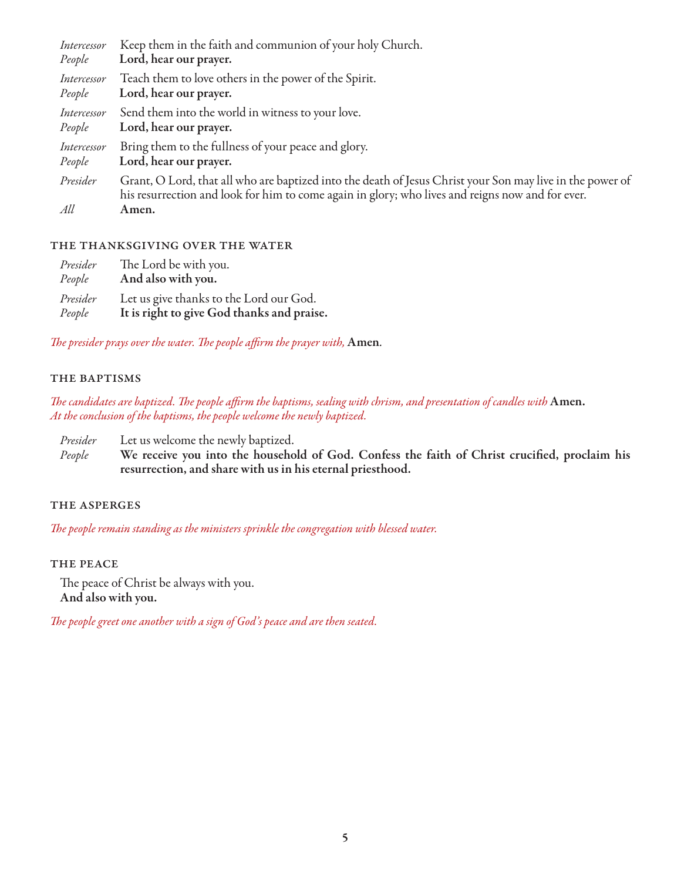| Intercessor     | Keep them in the faith and communion of your holy Church.                                                                                                                                                              |
|-----------------|------------------------------------------------------------------------------------------------------------------------------------------------------------------------------------------------------------------------|
| People          | Lord, hear our prayer.                                                                                                                                                                                                 |
| Intercessor     | Teach them to love others in the power of the Spirit.                                                                                                                                                                  |
| People          | Lord, hear our prayer.                                                                                                                                                                                                 |
| Intercessor     | Send them into the world in witness to your love.                                                                                                                                                                      |
| People          | Lord, hear our prayer.                                                                                                                                                                                                 |
| Intercessor     | Bring them to the fullness of your peace and glory.                                                                                                                                                                    |
| People          | Lord, hear our prayer.                                                                                                                                                                                                 |
| Presider<br>All | Grant, O Lord, that all who are baptized into the death of Jesus Christ your Son may live in the power of<br>his resurrection and look for him to come again in glory; who lives and reigns now and for ever.<br>Amen. |

#### the thanksgiving over the water

| Presider | The Lord be with you.                      |
|----------|--------------------------------------------|
| People   | And also with you.                         |
| Presider | Let us give thanks to the Lord our God.    |
| People   | It is right to give God thanks and praise. |

*The presider prays over the water. The people affirm the prayer with,* Amen*.*

#### THE BAPTISMS

*The candidates are baptized. The people affirm the baptisms, sealing with chrism, and presentation of candles with* Amen. *At the conclusion of the baptisms, the people welcome the newly baptized.* 

*Presider* Let us welcome the newly baptized.

*People* We receive you into the household of God. Confess the faith of Christ crucified, proclaim his resurrection, and share with us in his eternal priesthood.

#### the asperges

*The people remain standing as the ministers sprinkle the congregation with blessed water.*

#### THE PEACE

The peace of Christ be always with you. And also with you.

*The people greet one another with a sign of God's peace and are then seated.*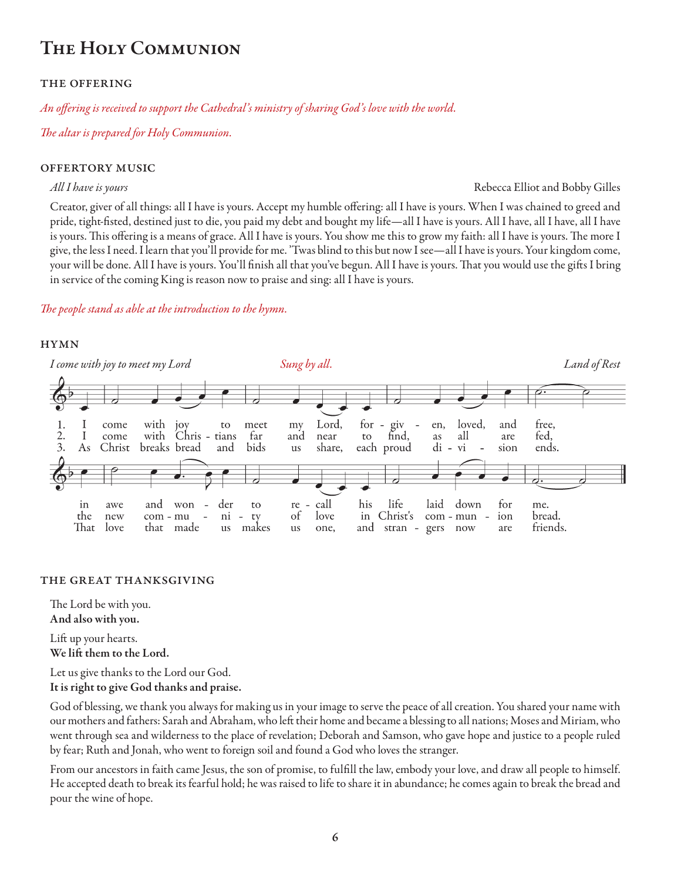## The Holy Communion

#### the offering

*An offering is received to support the Cathedral's ministry of sharing God's love with the world.*

*The altar is prepared for Holy Communion.* 

#### offertory music

#### *All I have is yours* Rebecca Elliot and Bobby Gilles

Creator, giver of all things: all I have is yours. Accept my humble offering: all I have is yours. When I was chained to greed and pride, tight-fisted, destined just to die, you paid my debt and bought my life—all I have is yours. All I have, all I have, all I have is yours. This offering is a means of grace. All I have is yours. You show me this to grow my faith: all I have is yours. The more I give, the less I need. I learn that you'll provide for me. 'Twas blind to this but now I see—all I have is yours. Your kingdom come, your will be done. All I have is yours. You'll finish all that you've begun. All I have is yours. That you would use the gifts I bring in service of the coming King is reason now to praise and sing: all I have is yours.

#### *The people stand as able at the introduction to the hymn.*

#### **HYMN**



#### the great thanksgiving

The Lord be with you.

And also with you.

Lift up your hearts. We lift them to the Lord.

Let us give thanks to the Lord our God. It is right to give God thanks and praise.

God of blessing, we thank you always for making us in your image to serve the peace of all creation. You shared your name with our mothers and fathers: Sarah and Abraham, who left their home and became a blessing to all nations; Moses and Miriam, who went through sea and wilderness to the place of revelation; Deborah and Samson, who gave hope and justice to a people ruled by fear; Ruth and Jonah, who went to foreign soil and found a God who loves the stranger.

From our ancestors in faith came Jesus, the son of promise, to fulfill the law, embody your love, and draw all people to himself. He accepted death to break its fearful hold; he was raised to life to share it in abundance; he comes again to break the bread and pour the wine of hope.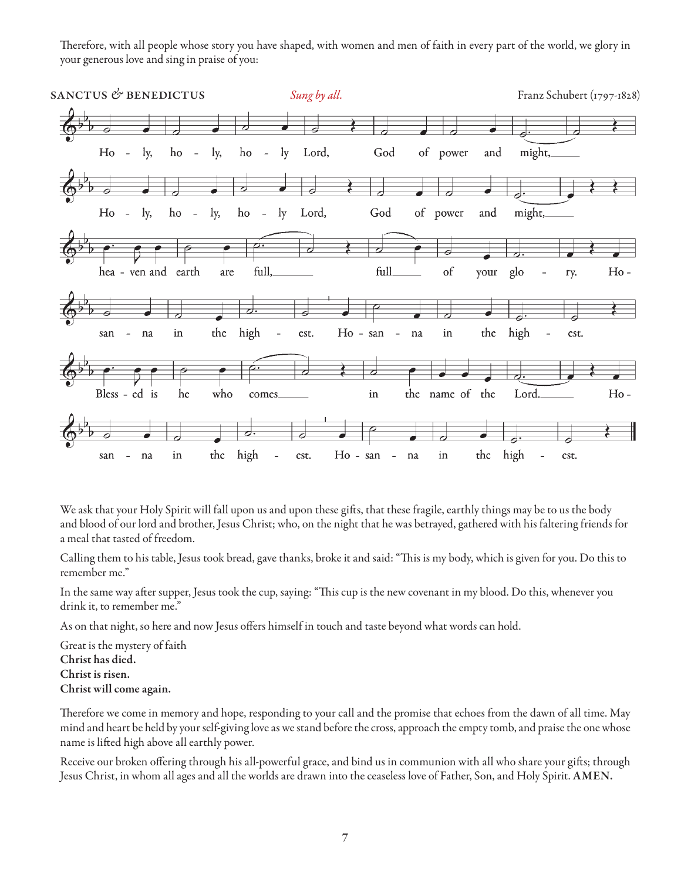Therefore, with all people whose story you have shaped, with women and men of faith in every part of the world, we glory in your generous love and sing in praise of you:



We ask that your Holy Spirit will fall upon us and upon these gifts, that these fragile, earthly things may be to us the body and blood of our lord and brother, Jesus Christ; who, on the night that he was betrayed, gathered with his faltering friends for a meal that tasted of freedom.

Calling them to his table, Jesus took bread, gave thanks, broke it and said: "This is my body, which is given for you. Do this to remember me."

In the same way after supper, Jesus took the cup, saying: "This cup is the new covenant in my blood. Do this, whenever you drink it, to remember me."

As on that night, so here and now Jesus offers himself in touch and taste beyond what words can hold.

Great is the mystery of faith Christ has died. Christ is risen. Christ will come again.

Therefore we come in memory and hope, responding to your call and the promise that echoes from the dawn of all time. May mind and heart be held by your self-giving love as we stand before the cross, approach the empty tomb, and praise the one whose name is lifted high above all earthly power.

Receive our broken offering through his all-powerful grace, and bind us in communion with all who share your gifts; through Jesus Christ, in whom all ages and all the worlds are drawn into the ceaseless love of Father, Son, and Holy Spirit. AMEN.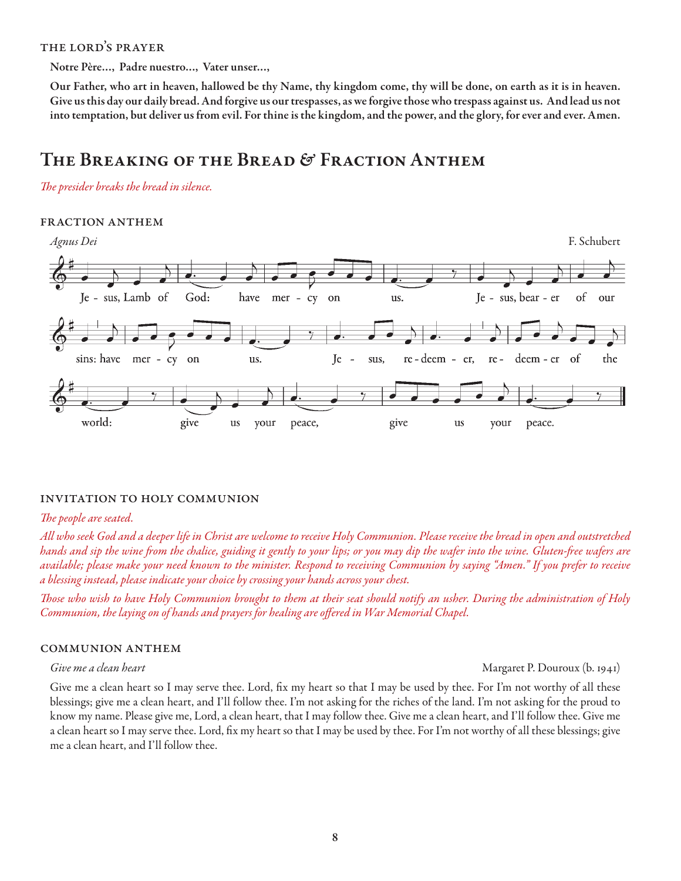#### the lord's prayer

Notre Père…, Padre nuestro…, Vater unser…,

Our Father, who art in heaven, hallowed be thy Name, thy kingdom come, thy will be done, on earth as it is in heaven. Give us this day our daily bread. And forgive us our trespasses, as we forgive those who trespass against us. And lead us not into temptation, but deliver us from evil. For thine is the kingdom, and the power, and the glory, for ever and ever. Amen.

### The Breaking of the Bread & Fraction Anthem

*The presider breaks the bread in silence.* 

#### fraction anthem



#### invitation to holy communion

#### *The people are seated.*

*All who seek God and a deeper life in Christ are welcome to receive Holy Communion. Please receive the bread in open and outstretched hands and sip the wine from the chalice, guiding it gently to your lips; or you may dip the wafer into the wine. Gluten-free wafers are available; please make your need known to the minister. Respond to receiving Communion by saying "Amen." If you prefer to receive a blessing instead, please indicate your choice by crossing your hands across your chest.* 

*Those who wish to have Holy Communion brought to them at their seat should notify an usher. During the administration of Holy Communion, the laying on of hands and prayers for healing are offered in War Memorial Chapel.*

#### communion anthem

*Give me a clean heart* Margaret P. Douroux (b. 1941)

Give me a clean heart so I may serve thee. Lord, fix my heart so that I may be used by thee. For I'm not worthy of all these blessings; give me a clean heart, and I'll follow thee. I'm not asking for the riches of the land. I'm not asking for the proud to know my name. Please give me, Lord, a clean heart, that I may follow thee. Give me a clean heart, and I'll follow thee. Give me a clean heart so I may serve thee. Lord, fix my heart so that I may be used by thee. For I'm not worthy of all these blessings; give me a clean heart, and I'll follow thee.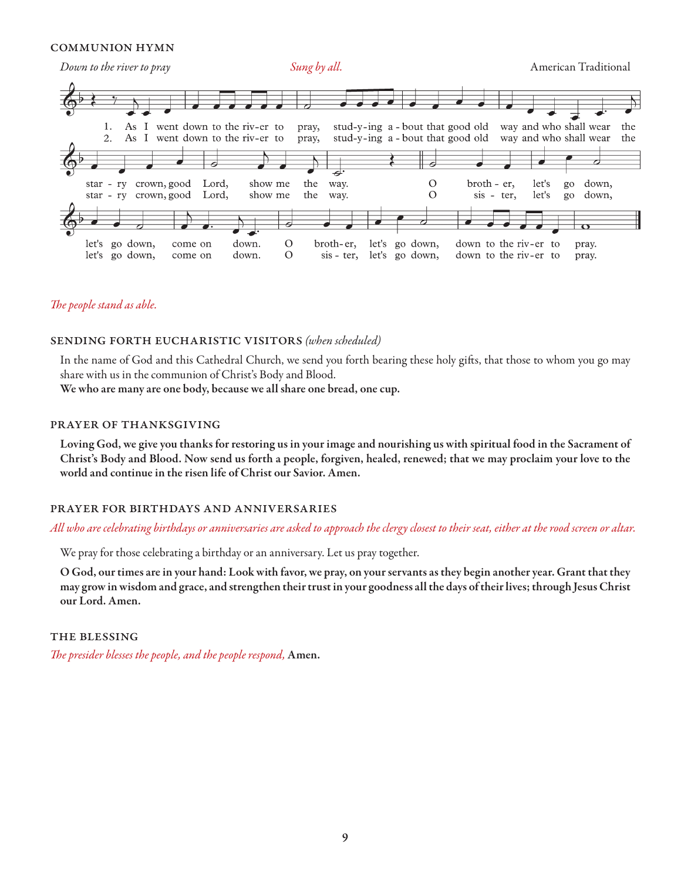#### communion hymn



#### *The people stand as able.*

#### sending forth eucharistic visitors *(when scheduled)*

In the name of God and this Cathedral Church, we send you forth bearing these holy gifts, that those to whom you go may share with us in the communion of Christ's Body and Blood.

We who are many are one body, because we all share one bread, one cup.

#### prayer of thanksgiving

Loving God, we give you thanks for restoring us in your image and nourishing us with spiritual food in the Sacrament of Christ's Body and Blood. Now send us forth a people, forgiven, healed, renewed; that we may proclaim your love to the world and continue in the risen life of Christ our Savior. Amen.

#### prayer for birthdays and anniversaries

#### *All who are celebrating birthdays or anniversaries are asked to approach the clergy closest to their seat, either at the rood screen or altar.*

We pray for those celebrating a birthday or an anniversary. Let us pray together.

O God, our times are in your hand: Look with favor, we pray, on your servants as they begin another year. Grant that they may grow in wisdom and grace, and strengthen their trust in your goodness all the days of their lives; through Jesus Christ our Lord. Amen.

#### the blessing

*The presider blesses the people, and the people respond,* Amen.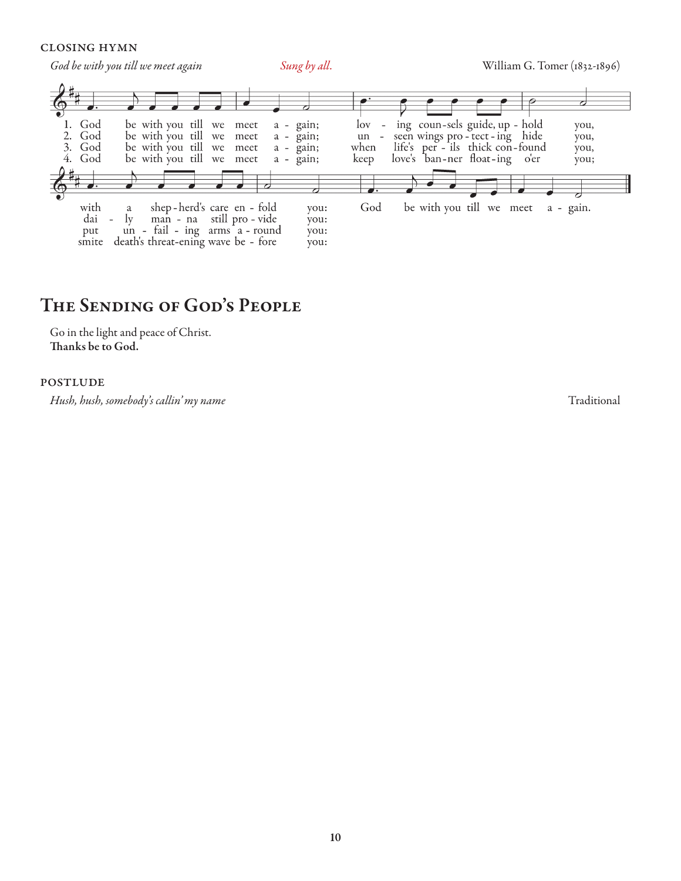#### closing hymn

*God be with you till we meet again* Sung by all. Sung by all. William G. Tomer (1832-1896)  $\overline{\bullet}$  $\overline{c}$  $\boldsymbol{5}$ 1. God be with you till we  $\log$ ing coun-sels guide, up - hold meet  $a - gain;$  $\sim$ you, seen wings pro-tect-ing hide<br>life's per-ils thick con-found<br>love's ban-ner float-ing o'er 2. God be with you till we meet  $a - \tilde{g}$ ain;  $un$  $\omega$ .<br>you, 3. God be with you till we when meet  $a - \bar{g}$ ain; you, 4. God be with you till we meet  $a - \bar{g}$ ain; keep you;  $\overrightarrow{\cdot}$ be with you till we meet with shep-herd's care en - fold God a - gain.  $\rm{a}$ you: dai  $\rm_{ly}$ man - na still pro - vide  $\overline{a}$ you: un - fail - ing arms a - round put you: smite death's threat-ening wave be - fore you:

### The Sending of God's People

Go in the light and peace of Christ. Thanks be to God.

#### **POSTLUDE**

*Hush, hush, somebody's callin' my name* Traditional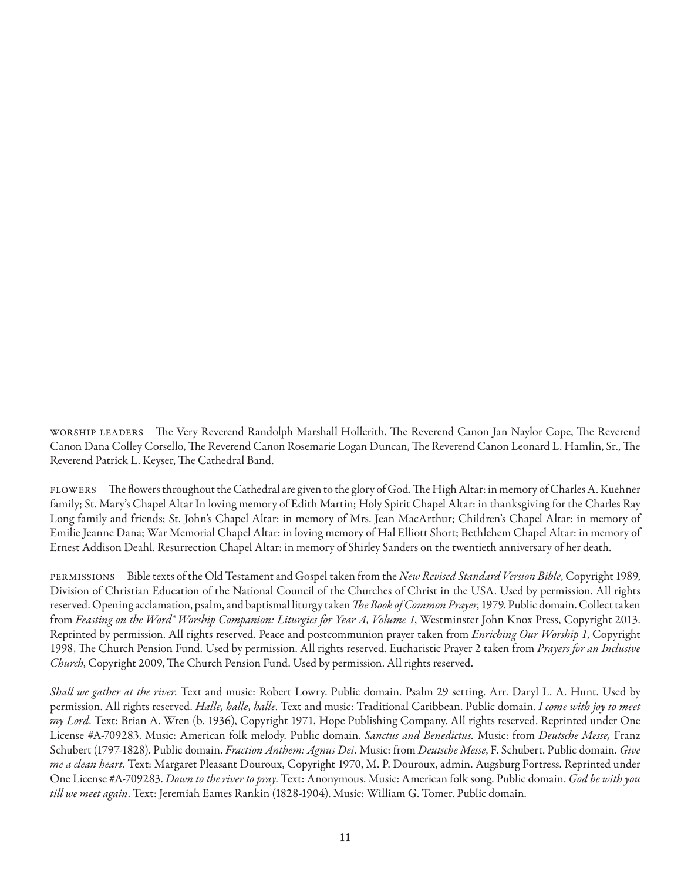worship leaders The Very Reverend Randolph Marshall Hollerith, The Reverend Canon Jan Naylor Cope, The Reverend Canon Dana Colley Corsello, The Reverend Canon Rosemarie Logan Duncan, The Reverend Canon Leonard L. Hamlin, Sr., The Reverend Patrick L. Keyser, The Cathedral Band.

flowers The flowers throughout the Cathedral are given to the glory of God. The High Altar: in memory of Charles A. Kuehner family; St. Mary's Chapel Altar In loving memory of Edith Martin; Holy Spirit Chapel Altar: in thanksgiving for the Charles Ray Long family and friends; St. John's Chapel Altar: in memory of Mrs. Jean MacArthur; Children's Chapel Altar: in memory of Emilie Jeanne Dana; War Memorial Chapel Altar: in loving memory of Hal Elliott Short; Bethlehem Chapel Altar: in memory of Ernest Addison Deahl. Resurrection Chapel Altar: in memory of Shirley Sanders on the twentieth anniversary of her death.

permissions Bible texts of the Old Testament and Gospel taken from the *New Revised Standard Version Bible*, Copyright 1989, Division of Christian Education of the National Council of the Churches of Christ in the USA. Used by permission. All rights reserved. Opening acclamation, psalm, and baptismal liturgy taken *The Book of Common Prayer*, 1979. Public domain. Collect taken from *Feasting on the Word® Worship Companion: Liturgies for Year A, Volume 1*, Westminster John Knox Press, Copyright 2013. Reprinted by permission. All rights reserved. Peace and postcommunion prayer taken from *Enriching Our Worship 1*, Copyright 1998, The Church Pension Fund. Used by permission. All rights reserved. Eucharistic Prayer 2 taken from *Prayers for an Inclusive Church*, Copyright 2009, The Church Pension Fund. Used by permission. All rights reserved.

*Shall we gather at the river*. Text and music: Robert Lowry. Public domain. Psalm 29 setting. Arr. Daryl L. A. Hunt. Used by permission. All rights reserved. *Halle, halle, halle*. Text and music: Traditional Caribbean. Public domain. *I come with joy to meet my Lord*. Text: Brian A. Wren (b. 1936), Copyright 1971, Hope Publishing Company. All rights reserved. Reprinted under One License #A-709283. Music: American folk melody. Public domain. *Sanctus and Benedictus.* Music: from *Deutsche Messe,* Franz Schubert (1797-1828). Public domain. *Fraction Anthem: Agnus Dei.* Music: from *Deutsche Messe*, F. Schubert. Public domain. *Give me a clean heart*. Text: Margaret Pleasant Douroux, Copyright 1970, M. P. Douroux, admin. Augsburg Fortress. Reprinted under One License #A-709283. *Down to the river to pray*. Text: Anonymous. Music: American folk song. Public domain. *God be with you till we meet again*. Text: Jeremiah Eames Rankin (1828-1904). Music: William G. Tomer. Public domain.